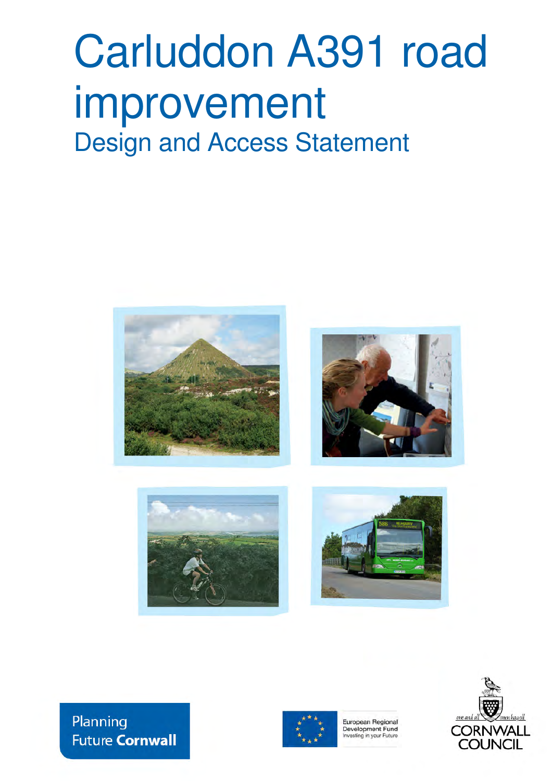# Carluddon A391 road improvement Design and Access Statement









Planning **Future Cornwall** 



European Regional Development Fund Investing in your Future

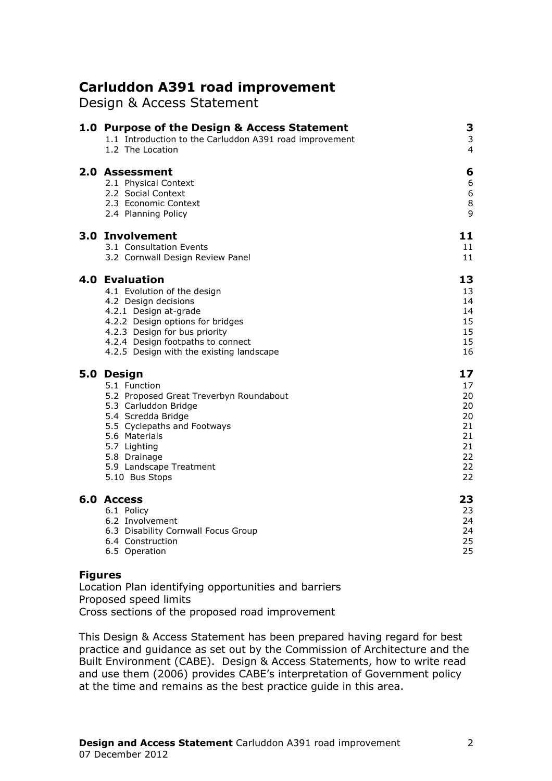# Carluddon A391 road improvement

Design & Access Statement

| 1.0 Purpose of the Design & Access Statement<br>1.1 Introduction to the Carluddon A391 road improvement<br>1.2 The Location                                                                                                                                 | 3<br>3<br>4                                                    |
|-------------------------------------------------------------------------------------------------------------------------------------------------------------------------------------------------------------------------------------------------------------|----------------------------------------------------------------|
| 2.0 Assessment<br>2.1 Physical Context<br>2.2 Social Context<br>2.3 Economic Context<br>2.4 Planning Policy                                                                                                                                                 | 6<br>6<br>$\boldsymbol{6}$<br>$\bf 8$<br>9                     |
| 3.0 Involvement<br>3.1 Consultation Events<br>3.2 Cornwall Design Review Panel                                                                                                                                                                              | 11<br>11<br>11                                                 |
| <b>4.0 Evaluation</b><br>4.1 Evolution of the design<br>4.2 Design decisions<br>4.2.1 Design at-grade<br>4.2.2 Design options for bridges<br>4.2.3 Design for bus priority<br>4.2.4 Design footpaths to connect<br>4.2.5 Design with the existing landscape | 13<br>13<br>14<br>14<br>15<br>15<br>15<br>16                   |
| 5.0 Design<br>5.1 Function<br>5.2 Proposed Great Treverbyn Roundabout<br>5.3 Carluddon Bridge<br>5.4 Scredda Bridge<br>5.5 Cyclepaths and Footways<br>5.6 Materials<br>5.7 Lighting<br>5.8 Drainage<br>5.9 Landscape Treatment<br>5.10 Bus Stops            | 17<br>17<br>20<br>20<br>20<br>21<br>21<br>21<br>22<br>22<br>22 |
| 6.0 Access<br>6.1 Policy<br>6.2 Involvement<br>6.3 Disability Cornwall Focus Group<br>6.4 Construction<br>6.5 Operation                                                                                                                                     | 23<br>23<br>24<br>24<br>25<br>25                               |

#### Figures

Location Plan identifying opportunities and barriers Proposed speed limits Cross sections of the proposed road improvement

This Design & Access Statement has been prepared having regard for best practice and guidance as set out by the Commission of Architecture and the Built Environment (CABE). Design & Access Statements, how to write read and use them (2006) provides CABE's interpretation of Government policy at the time and remains as the best practice guide in this area.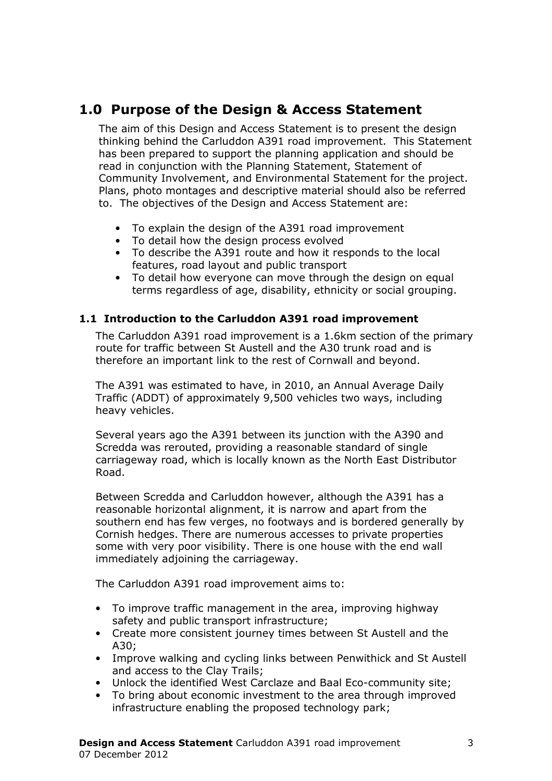# 1.0 Purpose of the Design & Access Statement

The aim of this Design and Access Statement is to present the design thinking behind the Carluddon A391 road improvement. This Statement has been prepared to support the planning application and should be read in conjunction with the Planning Statement, Statement of Community Involvement, and Environmental Statement for the project. Plans, photo montages and descriptive material should also be referred to. The objectives of the Design and Access Statement are:

- To explain the design of the A391 road improvement
- To detail how the design process evolved
- To describe the A391 route and how it responds to the local features, road layout and public transport
- To detail how everyone can move through the design on equal terms regardless of age, disability, ethnicity or social grouping.

#### 1.1 Introduction to the Carluddon A391 road improvement

The Carluddon A391 road improvement is a 1.6km section of the primary route for traffic between St Austell and the A30 trunk road and is therefore an important link to the rest of Cornwall and beyond.

The A391 was estimated to have, in 2010, an Annual Average Daily Traffic (ADDT) of approximately 9,500 vehicles two ways, including heavy vehicles.

Several years ago the A391 between its junction with the A390 and Scredda was rerouted, providing a reasonable standard of single carriageway road, which is locally known as the North East Distributor Road.

Between Scredda and Carluddon however, although the A391 has a reasonable horizontal alignment, it is narrow and apart from the southern end has few verges, no footways and is bordered generally by Cornish hedges. There are numerous accesses to private properties some with very poor visibility. There is one house with the end wall immediately adjoining the carriageway.

The Carluddon A391 road improvement aims to:

- To improve traffic management in the area, improving highway safety and public transport infrastructure;
- Create more consistent journey times between St Austell and the A30;
- Improve walking and cycling links between Penwithick and St Austell and access to the Clay Trails;
- Unlock the identified West Carclaze and Baal Eco-community site;
- To bring about economic investment to the area through improved infrastructure enabling the proposed technology park;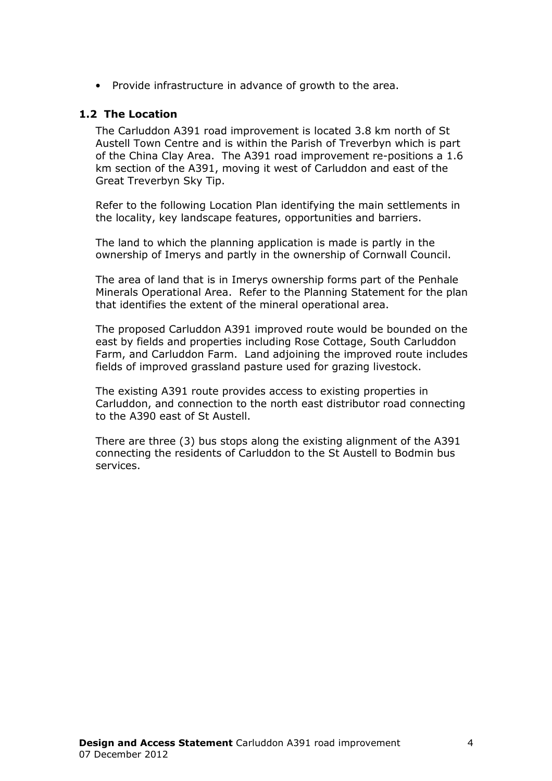• Provide infrastructure in advance of growth to the area.

#### 1.2 The Location

The Carluddon A391 road improvement is located 3.8 km north of St Austell Town Centre and is within the Parish of Treverbyn which is part of the China Clay Area. The A391 road improvement re-positions a 1.6 km section of the A391, moving it west of Carluddon and east of the Great Treverbyn Sky Tip.

Refer to the following Location Plan identifying the main settlements in the locality, key landscape features, opportunities and barriers.

The land to which the planning application is made is partly in the ownership of Imerys and partly in the ownership of Cornwall Council.

The area of land that is in Imerys ownership forms part of the Penhale Minerals Operational Area. Refer to the Planning Statement for the plan that identifies the extent of the mineral operational area.

The proposed Carluddon A391 improved route would be bounded on the east by fields and properties including Rose Cottage, South Carluddon Farm, and Carluddon Farm. Land adjoining the improved route includes fields of improved grassland pasture used for grazing livestock.

The existing A391 route provides access to existing properties in Carluddon, and connection to the north east distributor road connecting to the A390 east of St Austell.

There are three (3) bus stops along the existing alignment of the A391 connecting the residents of Carluddon to the St Austell to Bodmin bus services.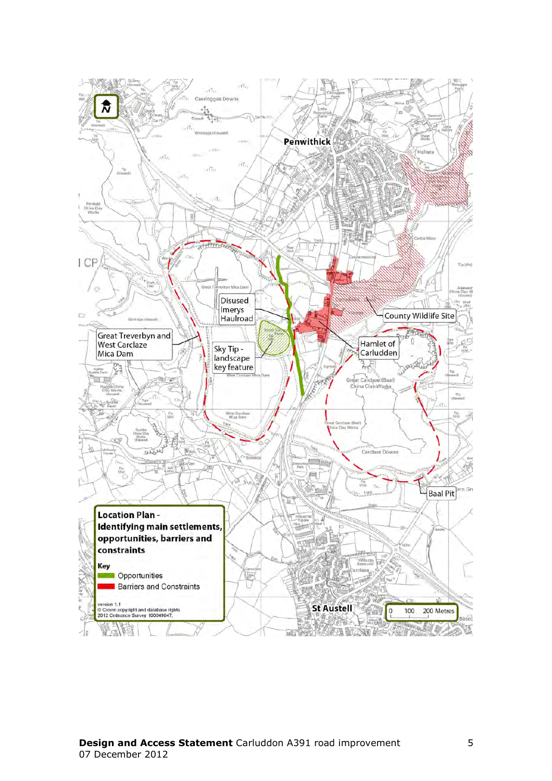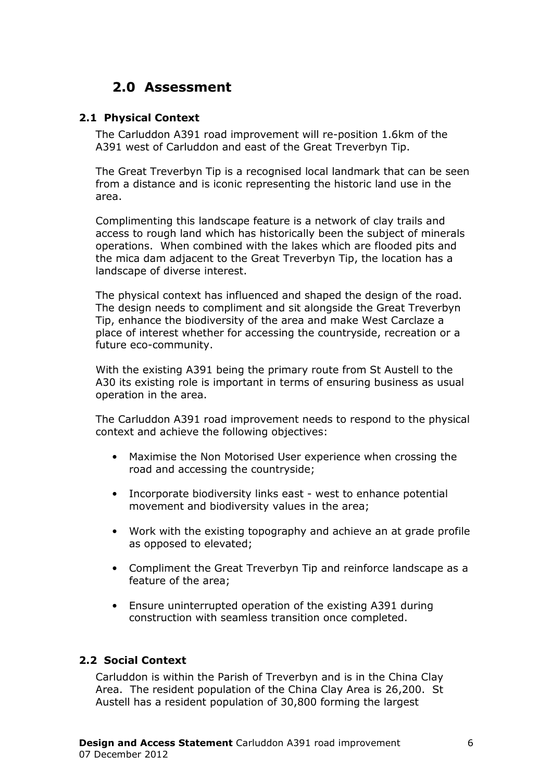# 2.0 Assessment

#### 2.1 Physical Context

The Carluddon A391 road improvement will re-position 1.6km of the A391 west of Carluddon and east of the Great Treverbyn Tip.

The Great Treverbyn Tip is a recognised local landmark that can be seen from a distance and is iconic representing the historic land use in the area.

Complimenting this landscape feature is a network of clay trails and access to rough land which has historically been the subject of minerals operations. When combined with the lakes which are flooded pits and the mica dam adjacent to the Great Treverbyn Tip, the location has a landscape of diverse interest.

The physical context has influenced and shaped the design of the road. The design needs to compliment and sit alongside the Great Treverbyn Tip, enhance the biodiversity of the area and make West Carclaze a place of interest whether for accessing the countryside, recreation or a future eco-community.

With the existing A391 being the primary route from St Austell to the A30 its existing role is important in terms of ensuring business as usual operation in the area.

The Carluddon A391 road improvement needs to respond to the physical context and achieve the following objectives:

- Maximise the Non Motorised User experience when crossing the road and accessing the countryside;
- Incorporate biodiversity links east west to enhance potential movement and biodiversity values in the area;
- Work with the existing topography and achieve an at grade profile as opposed to elevated;
- Compliment the Great Treverbyn Tip and reinforce landscape as a feature of the area;
- Ensure uninterrupted operation of the existing A391 during construction with seamless transition once completed.

#### 2.2 Social Context

Carluddon is within the Parish of Treverbyn and is in the China Clay Area. The resident population of the China Clay Area is 26,200. St Austell has a resident population of 30,800 forming the largest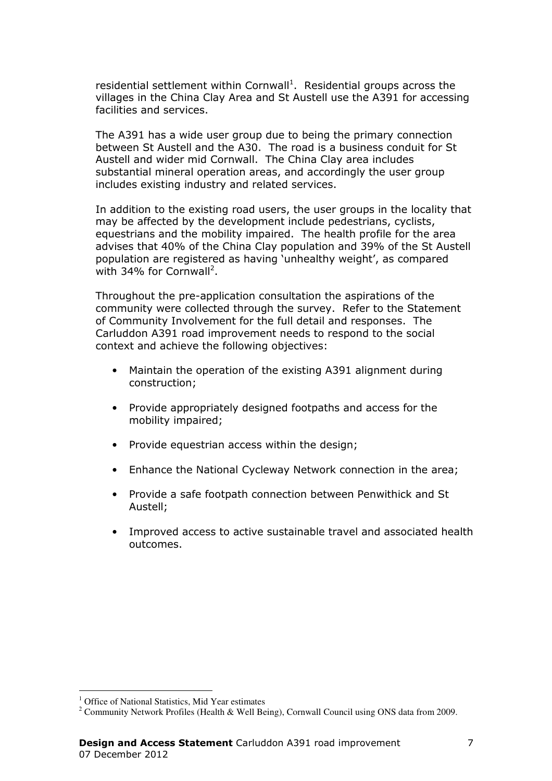residential settlement within Cornwall<sup>1</sup>. Residential groups across the villages in the China Clay Area and St Austell use the A391 for accessing facilities and services.

The A391 has a wide user group due to being the primary connection between St Austell and the A30. The road is a business conduit for St Austell and wider mid Cornwall. The China Clay area includes substantial mineral operation areas, and accordingly the user group includes existing industry and related services.

In addition to the existing road users, the user groups in the locality that may be affected by the development include pedestrians, cyclists, equestrians and the mobility impaired. The health profile for the area advises that 40% of the China Clay population and 39% of the St Austell population are registered as having 'unhealthy weight', as compared with 34% for Cornwall<sup>2</sup>.

Throughout the pre-application consultation the aspirations of the community were collected through the survey. Refer to the Statement of Community Involvement for the full detail and responses. The Carluddon A391 road improvement needs to respond to the social context and achieve the following objectives:

- Maintain the operation of the existing A391 alignment during construction;
- Provide appropriately designed footpaths and access for the mobility impaired;
- Provide equestrian access within the design;
- Enhance the National Cycleway Network connection in the area;
- Provide a safe footpath connection between Penwithick and St Austell;
- Improved access to active sustainable travel and associated health outcomes.

 $\overline{a}$ 

<sup>&</sup>lt;sup>1</sup> Office of National Statistics, Mid Year estimates

<sup>&</sup>lt;sup>2</sup> Community Network Profiles (Health & Well Being), Cornwall Council using ONS data from 2009.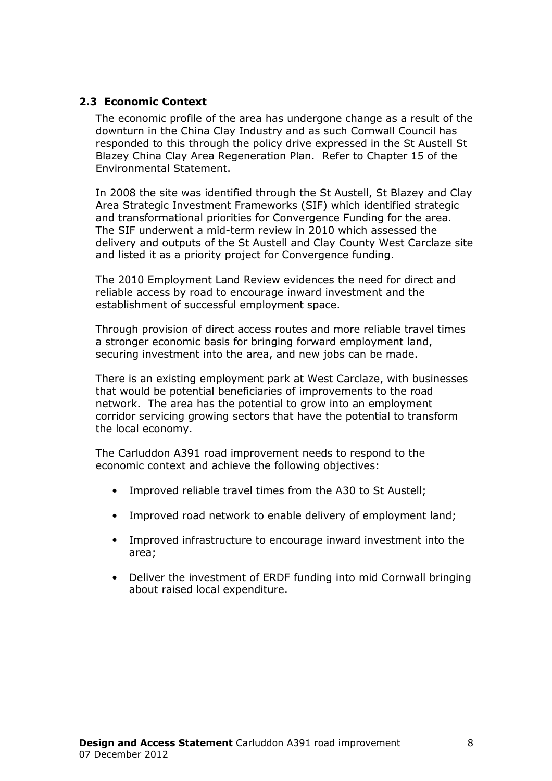#### 2.3 Economic Context

The economic profile of the area has undergone change as a result of the downturn in the China Clay Industry and as such Cornwall Council has responded to this through the policy drive expressed in the St Austell St Blazey China Clay Area Regeneration Plan. Refer to Chapter 15 of the Environmental Statement.

In 2008 the site was identified through the St Austell, St Blazey and Clay Area Strategic Investment Frameworks (SIF) which identified strategic and transformational priorities for Convergence Funding for the area. The SIF underwent a mid-term review in 2010 which assessed the delivery and outputs of the St Austell and Clay County West Carclaze site and listed it as a priority project for Convergence funding.

The 2010 Employment Land Review evidences the need for direct and reliable access by road to encourage inward investment and the establishment of successful employment space.

Through provision of direct access routes and more reliable travel times a stronger economic basis for bringing forward employment land, securing investment into the area, and new jobs can be made.

There is an existing employment park at West Carclaze, with businesses that would be potential beneficiaries of improvements to the road network. The area has the potential to grow into an employment corridor servicing growing sectors that have the potential to transform the local economy.

The Carluddon A391 road improvement needs to respond to the economic context and achieve the following objectives:

- Improved reliable travel times from the A30 to St Austell;
- Improved road network to enable delivery of employment land;
- Improved infrastructure to encourage inward investment into the area;
- Deliver the investment of ERDF funding into mid Cornwall bringing about raised local expenditure.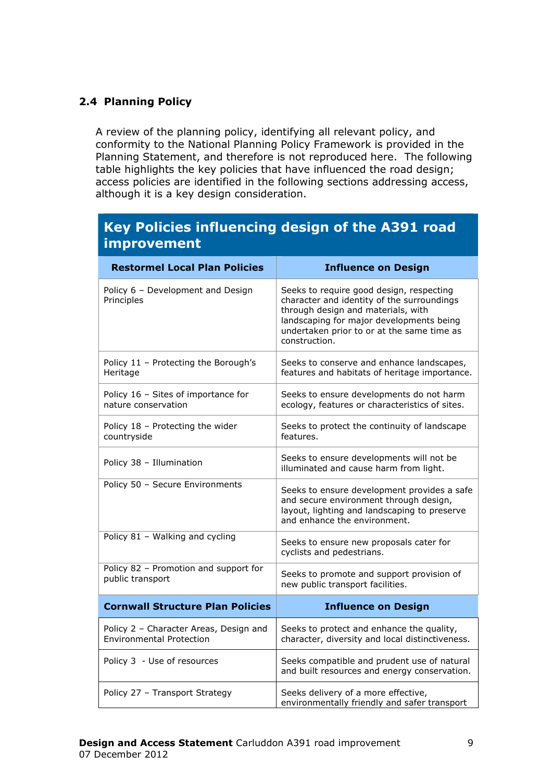#### 2.4 Planning Policy

A review of the planning policy, identifying all relevant policy, and conformity to the National Planning Policy Framework is provided in the Planning Statement, and therefore is not reproduced here. The following table highlights the key policies that have influenced the road design; access policies are identified in the following sections addressing access, although it is a key design consideration.

## Key Policies influencing design of the A391 road improvement

| <b>Restormel Local Plan Policies</b>                                      | <b>Influence on Design</b>                                                                                                                                                                                                              |
|---------------------------------------------------------------------------|-----------------------------------------------------------------------------------------------------------------------------------------------------------------------------------------------------------------------------------------|
| Policy 6 - Development and Design<br>Principles                           | Seeks to require good design, respecting<br>character and identity of the surroundings<br>through design and materials, with<br>landscaping for major developments being<br>undertaken prior to or at the same time as<br>construction. |
| Policy 11 - Protecting the Borough's<br>Heritage                          | Seeks to conserve and enhance landscapes,<br>features and habitats of heritage importance.                                                                                                                                              |
| Policy 16 - Sites of importance for<br>nature conservation                | Seeks to ensure developments do not harm<br>ecology, features or characteristics of sites.                                                                                                                                              |
| Policy 18 - Protecting the wider<br>countryside                           | Seeks to protect the continuity of landscape<br>features.                                                                                                                                                                               |
| Policy 38 - Illumination                                                  | Seeks to ensure developments will not be<br>illuminated and cause harm from light.                                                                                                                                                      |
| Policy 50 - Secure Environments                                           | Seeks to ensure development provides a safe<br>and secure environment through design,<br>layout, lighting and landscaping to preserve<br>and enhance the environment.                                                                   |
| Policy 81 - Walking and cycling                                           | Seeks to ensure new proposals cater for<br>cyclists and pedestrians.                                                                                                                                                                    |
| Policy 82 - Promotion and support for<br>public transport                 | Seeks to promote and support provision of<br>new public transport facilities.                                                                                                                                                           |
| <b>Cornwall Structure Plan Policies</b>                                   | <b>Influence on Design</b>                                                                                                                                                                                                              |
| Policy 2 - Character Areas, Design and<br><b>Environmental Protection</b> | Seeks to protect and enhance the quality,<br>character, diversity and local distinctiveness.                                                                                                                                            |
| Policy 3 - Use of resources                                               | Seeks compatible and prudent use of natural<br>and built resources and energy conservation.                                                                                                                                             |
| Policy 27 - Transport Strategy                                            | Seeks delivery of a more effective,<br>environmentally friendly and safer transport                                                                                                                                                     |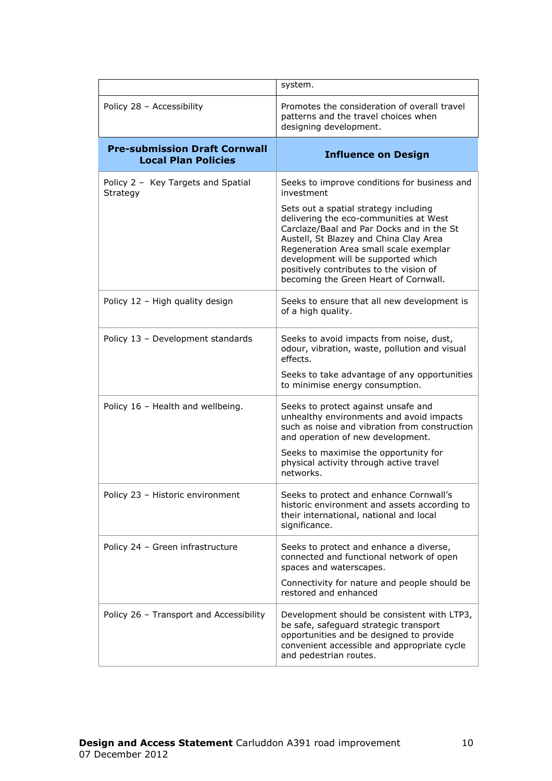|                                                                    | system.                                                                                                                                                                                                                                                                                                                                     |
|--------------------------------------------------------------------|---------------------------------------------------------------------------------------------------------------------------------------------------------------------------------------------------------------------------------------------------------------------------------------------------------------------------------------------|
| Policy 28 - Accessibility                                          | Promotes the consideration of overall travel<br>patterns and the travel choices when<br>designing development.                                                                                                                                                                                                                              |
| <b>Pre-submission Draft Cornwall</b><br><b>Local Plan Policies</b> | <b>Influence on Design</b>                                                                                                                                                                                                                                                                                                                  |
| Policy 2 - Key Targets and Spatial<br>Strategy                     | Seeks to improve conditions for business and<br>investment                                                                                                                                                                                                                                                                                  |
|                                                                    | Sets out a spatial strategy including<br>delivering the eco-communities at West<br>Carclaze/Baal and Par Docks and in the St<br>Austell, St Blazey and China Clay Area<br>Regeneration Area small scale exemplar<br>development will be supported which<br>positively contributes to the vision of<br>becoming the Green Heart of Cornwall. |
| Policy 12 - High quality design                                    | Seeks to ensure that all new development is<br>of a high quality.                                                                                                                                                                                                                                                                           |
| Policy 13 - Development standards                                  | Seeks to avoid impacts from noise, dust,<br>odour, vibration, waste, pollution and visual<br>effects.                                                                                                                                                                                                                                       |
|                                                                    | Seeks to take advantage of any opportunities<br>to minimise energy consumption.                                                                                                                                                                                                                                                             |
| Policy 16 - Health and wellbeing.                                  | Seeks to protect against unsafe and<br>unhealthy environments and avoid impacts<br>such as noise and vibration from construction<br>and operation of new development.                                                                                                                                                                       |
|                                                                    | Seeks to maximise the opportunity for<br>physical activity through active travel<br>networks.                                                                                                                                                                                                                                               |
| Policy 23 - Historic environment                                   | Seeks to protect and enhance Cornwall's<br>historic environment and assets according to<br>their international, national and local<br>significance.                                                                                                                                                                                         |
| Policy 24 - Green infrastructure                                   | Seeks to protect and enhance a diverse,<br>connected and functional network of open<br>spaces and waterscapes.                                                                                                                                                                                                                              |
|                                                                    | Connectivity for nature and people should be<br>restored and enhanced                                                                                                                                                                                                                                                                       |
| Policy 26 - Transport and Accessibility                            | Development should be consistent with LTP3,<br>be safe, safeguard strategic transport<br>opportunities and be designed to provide<br>convenient accessible and appropriate cycle<br>and pedestrian routes.                                                                                                                                  |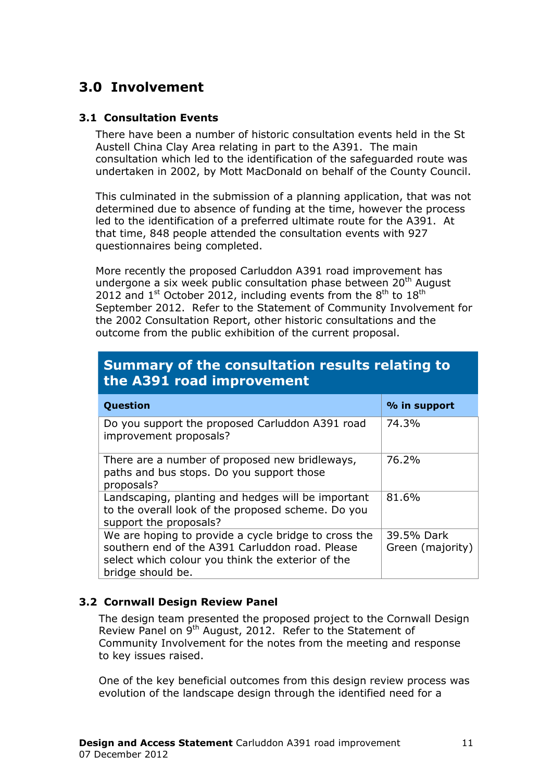# 3.0 Involvement

#### 3.1 Consultation Events

There have been a number of historic consultation events held in the St Austell China Clay Area relating in part to the A391. The main consultation which led to the identification of the safeguarded route was undertaken in 2002, by Mott MacDonald on behalf of the County Council.

This culminated in the submission of a planning application, that was not determined due to absence of funding at the time, however the process led to the identification of a preferred ultimate route for the A391. At that time, 848 people attended the consultation events with 927 questionnaires being completed.

More recently the proposed Carluddon A391 road improvement has undergone a six week public consultation phase between  $20<sup>th</sup>$  August 2012 and  $1^{\text{st}}$  October 2012, including events from the  $8^{\text{th}}$  to  $18^{\text{th}}$ September 2012. Refer to the Statement of Community Involvement for the 2002 Consultation Report, other historic consultations and the outcome from the public exhibition of the current proposal.

| TSummary of the consultation results relating to<br>the A391 road improvement |              |  |
|-------------------------------------------------------------------------------|--------------|--|
| Question                                                                      | % in support |  |
| Do you support the proposed Carluddon A391 road<br>improvement proposals?     | 74.3%        |  |

# Summary of the consultation results relating to

| There are a number of proposed new bridleways,       | 76.2%            |
|------------------------------------------------------|------------------|
| paths and bus stops. Do you support those            |                  |
| proposals?                                           |                  |
| Landscaping, planting and hedges will be important   | 81.6%            |
| to the overall look of the proposed scheme. Do you   |                  |
| support the proposals?                               |                  |
| We are hoping to provide a cycle bridge to cross the | 39.5% Dark       |
| southern end of the A391 Carluddon road. Please      | Green (majority) |
| select which colour you think the exterior of the    |                  |
| bridge should be.                                    |                  |

#### 3.2 Cornwall Design Review Panel

The design team presented the proposed project to the Cornwall Design Review Panel on 9<sup>th</sup> August, 2012. Refer to the Statement of Community Involvement for the notes from the meeting and response to key issues raised.

One of the key beneficial outcomes from this design review process was evolution of the landscape design through the identified need for a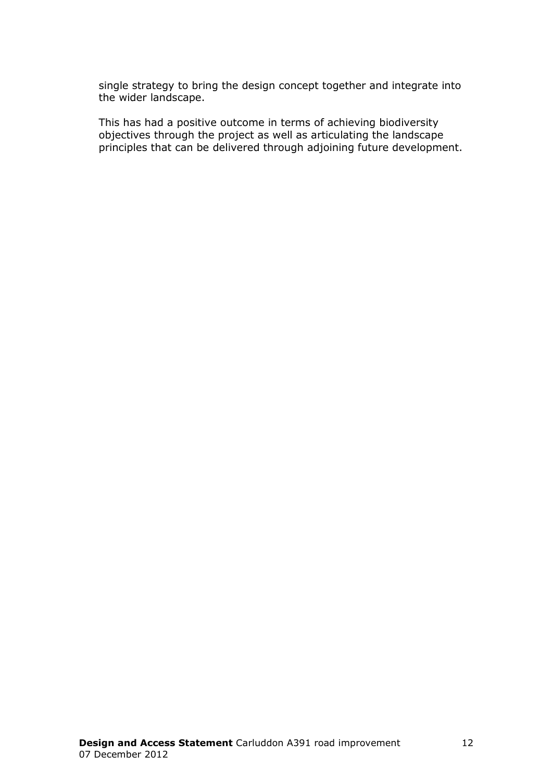single strategy to bring the design concept together and integrate into the wider landscape.

This has had a positive outcome in terms of achieving biodiversity objectives through the project as well as articulating the landscape principles that can be delivered through adjoining future development.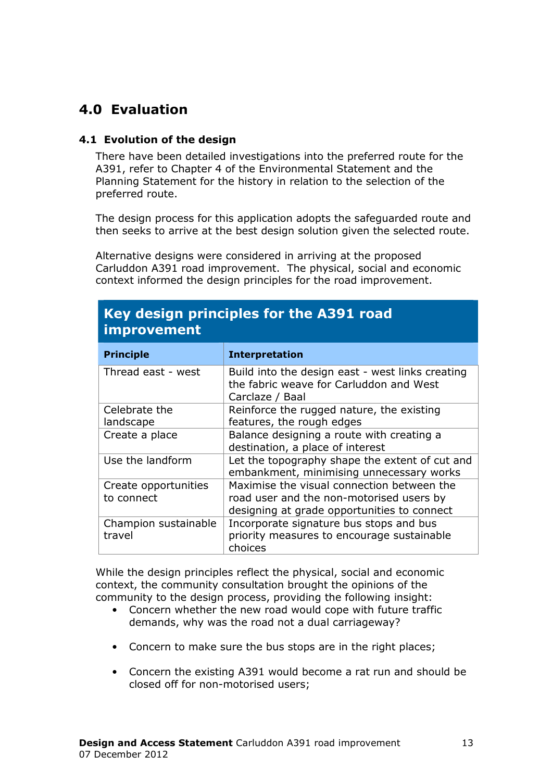# 4.0 Evaluation

#### 4.1 Evolution of the design

There have been detailed investigations into the preferred route for the A391, refer to Chapter 4 of the Environmental Statement and the Planning Statement for the history in relation to the selection of the preferred route.

The design process for this application adopts the safeguarded route and then seeks to arrive at the best design solution given the selected route.

Alternative designs were considered in arriving at the proposed Carluddon A391 road improvement. The physical, social and economic context informed the design principles for the road improvement.

| <u>IIII provenient</u>             |                                                                                                                                       |  |  |
|------------------------------------|---------------------------------------------------------------------------------------------------------------------------------------|--|--|
| <b>Principle</b>                   | <b>Interpretation</b>                                                                                                                 |  |  |
| Thread east - west                 | Build into the design east - west links creating<br>the fabric weave for Carluddon and West<br>Carclaze / Baal                        |  |  |
| Celebrate the<br>landscape         | Reinforce the rugged nature, the existing<br>features, the rough edges                                                                |  |  |
| Create a place                     | Balance designing a route with creating a<br>destination, a place of interest                                                         |  |  |
| Use the landform                   | Let the topography shape the extent of cut and<br>embankment, minimising unnecessary works                                            |  |  |
| Create opportunities<br>to connect | Maximise the visual connection between the<br>road user and the non-motorised users by<br>designing at grade opportunities to connect |  |  |
| Champion sustainable<br>travel     | Incorporate signature bus stops and bus<br>priority measures to encourage sustainable<br>choices                                      |  |  |

# Key design principles for the A391 road improvement

While the design principles reflect the physical, social and economic context, the community consultation brought the opinions of the community to the design process, providing the following insight:

- Concern whether the new road would cope with future traffic demands, why was the road not a dual carriageway?
- Concern to make sure the bus stops are in the right places;
- Concern the existing A391 would become a rat run and should be closed off for non-motorised users;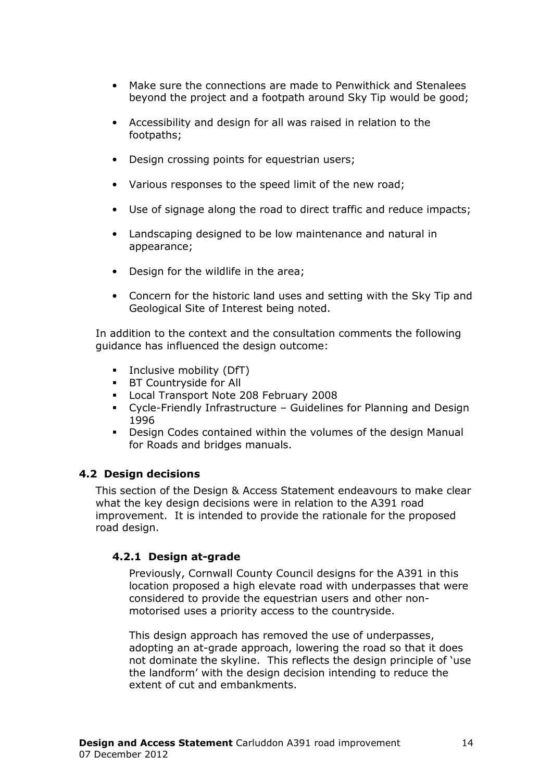- Make sure the connections are made to Penwithick and Stenalees beyond the project and a footpath around Sky Tip would be good;
- Accessibility and design for all was raised in relation to the footpaths;
- Design crossing points for equestrian users;
- Various responses to the speed limit of the new road;
- Use of signage along the road to direct traffic and reduce impacts;
- Landscaping designed to be low maintenance and natural in appearance;
- Design for the wildlife in the area;
- Concern for the historic land uses and setting with the Sky Tip and Geological Site of Interest being noted.

In addition to the context and the consultation comments the following guidance has influenced the design outcome:

- **Inclusive mobility (DfT)**
- **BT Countryside for All**
- Local Transport Note 208 February 2008
- Cycle-Friendly Infrastructure Guidelines for Planning and Design 1996
- Design Codes contained within the volumes of the design Manual for Roads and bridges manuals.

#### 4.2 Design decisions

This section of the Design & Access Statement endeavours to make clear what the key design decisions were in relation to the A391 road improvement. It is intended to provide the rationale for the proposed road design.

#### 4.2.1 Design at-grade

Previously, Cornwall County Council designs for the A391 in this location proposed a high elevate road with underpasses that were considered to provide the equestrian users and other nonmotorised uses a priority access to the countryside.

This design approach has removed the use of underpasses, adopting an at-grade approach, lowering the road so that it does not dominate the skyline. This reflects the design principle of 'use the landform' with the design decision intending to reduce the extent of cut and embankments.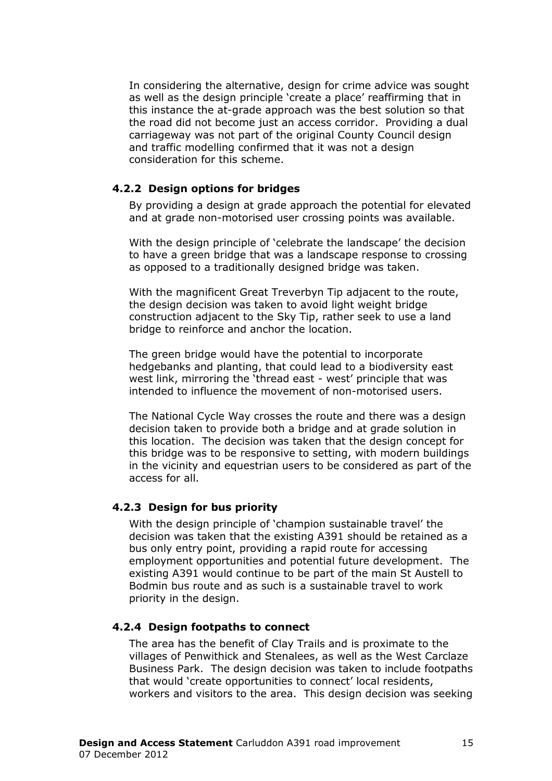In considering the alternative, design for crime advice was sought as well as the design principle 'create a place' reaffirming that in this instance the at-grade approach was the best solution so that the road did not become just an access corridor. Providing a dual carriageway was not part of the original County Council design and traffic modelling confirmed that it was not a design consideration for this scheme.

#### 4.2.2 Design options for bridges

By providing a design at grade approach the potential for elevated and at grade non-motorised user crossing points was available.

With the design principle of 'celebrate the landscape' the decision to have a green bridge that was a landscape response to crossing as opposed to a traditionally designed bridge was taken.

With the magnificent Great Treverbyn Tip adjacent to the route, the design decision was taken to avoid light weight bridge construction adjacent to the Sky Tip, rather seek to use a land bridge to reinforce and anchor the location.

The green bridge would have the potential to incorporate hedgebanks and planting, that could lead to a biodiversity east west link, mirroring the 'thread east - west' principle that was intended to influence the movement of non-motorised users.

The National Cycle Way crosses the route and there was a design decision taken to provide both a bridge and at grade solution in this location. The decision was taken that the design concept for this bridge was to be responsive to setting, with modern buildings in the vicinity and equestrian users to be considered as part of the access for all.

#### 4.2.3 Design for bus priority

With the design principle of 'champion sustainable travel' the decision was taken that the existing A391 should be retained as a bus only entry point, providing a rapid route for accessing employment opportunities and potential future development. The existing A391 would continue to be part of the main St Austell to Bodmin bus route and as such is a sustainable travel to work priority in the design.

#### 4.2.4 Design footpaths to connect

The area has the benefit of Clay Trails and is proximate to the villages of Penwithick and Stenalees, as well as the West Carclaze Business Park. The design decision was taken to include footpaths that would 'create opportunities to connect' local residents, workers and visitors to the area. This design decision was seeking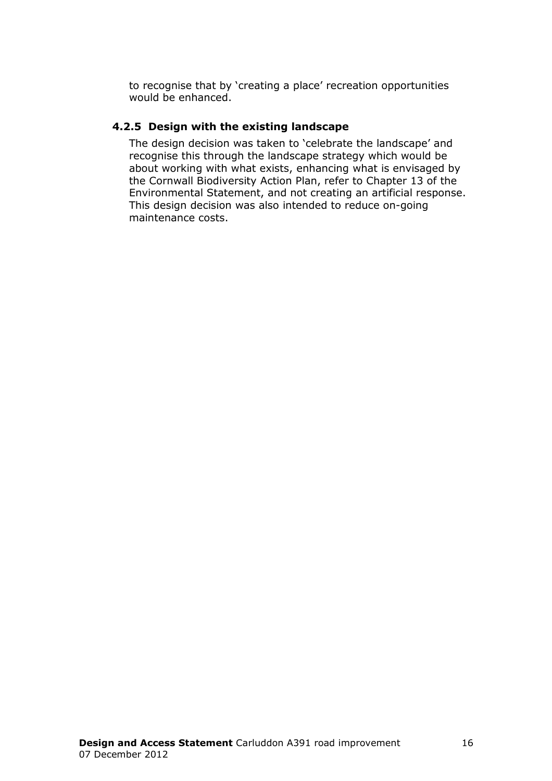to recognise that by 'creating a place' recreation opportunities would be enhanced.

#### 4.2.5 Design with the existing landscape

The design decision was taken to 'celebrate the landscape' and recognise this through the landscape strategy which would be about working with what exists, enhancing what is envisaged by the Cornwall Biodiversity Action Plan, refer to Chapter 13 of the Environmental Statement, and not creating an artificial response. This design decision was also intended to reduce on-going maintenance costs.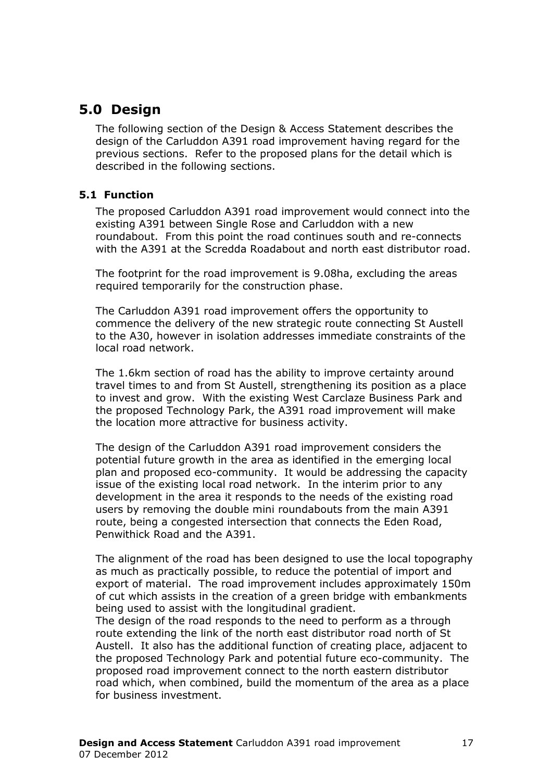# 5.0 Design

The following section of the Design & Access Statement describes the design of the Carluddon A391 road improvement having regard for the previous sections. Refer to the proposed plans for the detail which is described in the following sections.

#### 5.1 Function

The proposed Carluddon A391 road improvement would connect into the existing A391 between Single Rose and Carluddon with a new roundabout. From this point the road continues south and re-connects with the A391 at the Scredda Roadabout and north east distributor road.

The footprint for the road improvement is 9.08ha, excluding the areas required temporarily for the construction phase.

The Carluddon A391 road improvement offers the opportunity to commence the delivery of the new strategic route connecting St Austell to the A30, however in isolation addresses immediate constraints of the local road network.

The 1.6km section of road has the ability to improve certainty around travel times to and from St Austell, strengthening its position as a place to invest and grow. With the existing West Carclaze Business Park and the proposed Technology Park, the A391 road improvement will make the location more attractive for business activity.

The design of the Carluddon A391 road improvement considers the potential future growth in the area as identified in the emerging local plan and proposed eco-community. It would be addressing the capacity issue of the existing local road network. In the interim prior to any development in the area it responds to the needs of the existing road users by removing the double mini roundabouts from the main A391 route, being a congested intersection that connects the Eden Road, Penwithick Road and the A391.

The alignment of the road has been designed to use the local topography as much as practically possible, to reduce the potential of import and export of material. The road improvement includes approximately 150m of cut which assists in the creation of a green bridge with embankments being used to assist with the longitudinal gradient.

The design of the road responds to the need to perform as a through route extending the link of the north east distributor road north of St Austell. It also has the additional function of creating place, adjacent to the proposed Technology Park and potential future eco-community. The proposed road improvement connect to the north eastern distributor road which, when combined, build the momentum of the area as a place for business investment.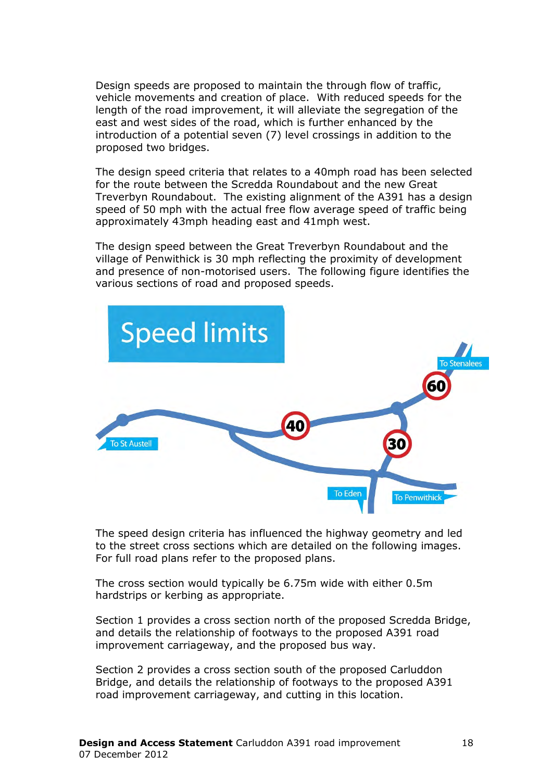Design speeds are proposed to maintain the through flow of traffic, vehicle movements and creation of place. With reduced speeds for the length of the road improvement, it will alleviate the segregation of the east and west sides of the road, which is further enhanced by the introduction of a potential seven (7) level crossings in addition to the proposed two bridges.

The design speed criteria that relates to a 40mph road has been selected for the route between the Scredda Roundabout and the new Great Treverbyn Roundabout. The existing alignment of the A391 has a design speed of 50 mph with the actual free flow average speed of traffic being approximately 43mph heading east and 41mph west.

The design speed between the Great Treverbyn Roundabout and the village of Penwithick is 30 mph reflecting the proximity of development and presence of non-motorised users. The following figure identifies the various sections of road and proposed speeds.



The speed design criteria has influenced the highway geometry and led to the street cross sections which are detailed on the following images. For full road plans refer to the proposed plans.

The cross section would typically be 6.75m wide with either 0.5m hardstrips or kerbing as appropriate.

Section 1 provides a cross section north of the proposed Scredda Bridge, and details the relationship of footways to the proposed A391 road improvement carriageway, and the proposed bus way.

Section 2 provides a cross section south of the proposed Carluddon Bridge, and details the relationship of footways to the proposed A391 road improvement carriageway, and cutting in this location.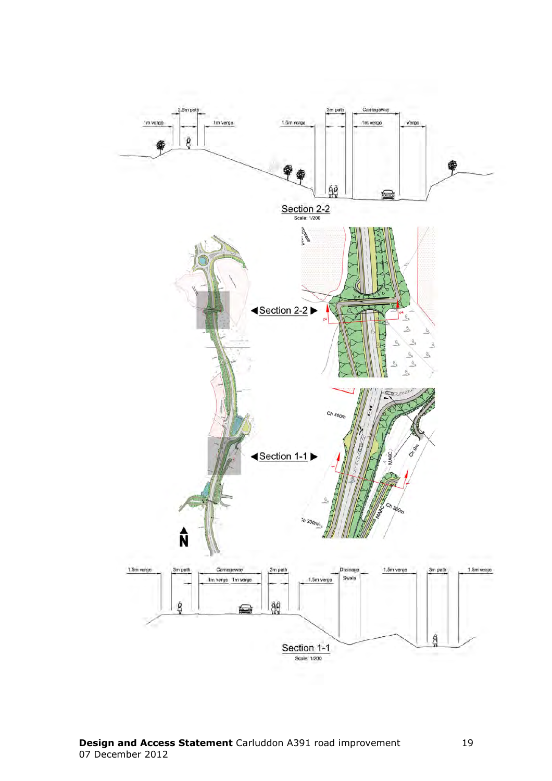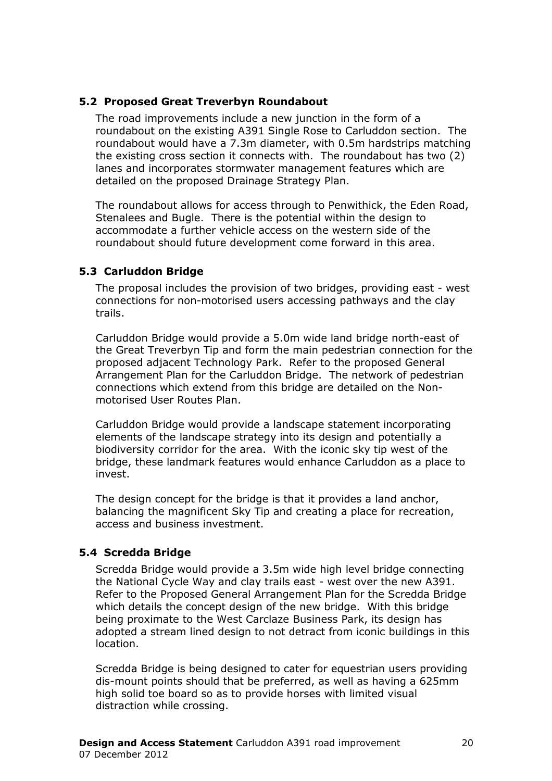#### 5.2 Proposed Great Treverbyn Roundabout

The road improvements include a new junction in the form of a roundabout on the existing A391 Single Rose to Carluddon section. The roundabout would have a 7.3m diameter, with 0.5m hardstrips matching the existing cross section it connects with. The roundabout has two (2) lanes and incorporates stormwater management features which are detailed on the proposed Drainage Strategy Plan.

The roundabout allows for access through to Penwithick, the Eden Road, Stenalees and Bugle. There is the potential within the design to accommodate a further vehicle access on the western side of the roundabout should future development come forward in this area.

#### 5.3 Carluddon Bridge

The proposal includes the provision of two bridges, providing east - west connections for non-motorised users accessing pathways and the clay trails.

Carluddon Bridge would provide a 5.0m wide land bridge north-east of the Great Treverbyn Tip and form the main pedestrian connection for the proposed adjacent Technology Park. Refer to the proposed General Arrangement Plan for the Carluddon Bridge. The network of pedestrian connections which extend from this bridge are detailed on the Nonmotorised User Routes Plan.

Carluddon Bridge would provide a landscape statement incorporating elements of the landscape strategy into its design and potentially a biodiversity corridor for the area. With the iconic sky tip west of the bridge, these landmark features would enhance Carluddon as a place to invest.

The design concept for the bridge is that it provides a land anchor, balancing the magnificent Sky Tip and creating a place for recreation, access and business investment.

#### 5.4 Scredda Bridge

Scredda Bridge would provide a 3.5m wide high level bridge connecting the National Cycle Way and clay trails east - west over the new A391. Refer to the Proposed General Arrangement Plan for the Scredda Bridge which details the concept design of the new bridge. With this bridge being proximate to the West Carclaze Business Park, its design has adopted a stream lined design to not detract from iconic buildings in this location.

Scredda Bridge is being designed to cater for equestrian users providing dis-mount points should that be preferred, as well as having a 625mm high solid toe board so as to provide horses with limited visual distraction while crossing.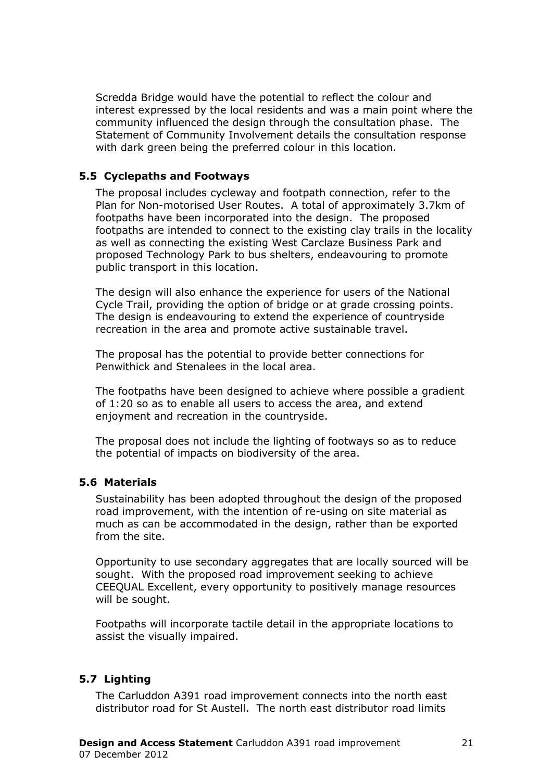Scredda Bridge would have the potential to reflect the colour and interest expressed by the local residents and was a main point where the community influenced the design through the consultation phase. The Statement of Community Involvement details the consultation response with dark green being the preferred colour in this location.

#### 5.5 Cyclepaths and Footways

The proposal includes cycleway and footpath connection, refer to the Plan for Non-motorised User Routes. A total of approximately 3.7km of footpaths have been incorporated into the design. The proposed footpaths are intended to connect to the existing clay trails in the locality as well as connecting the existing West Carclaze Business Park and proposed Technology Park to bus shelters, endeavouring to promote public transport in this location.

The design will also enhance the experience for users of the National Cycle Trail, providing the option of bridge or at grade crossing points. The design is endeavouring to extend the experience of countryside recreation in the area and promote active sustainable travel.

The proposal has the potential to provide better connections for Penwithick and Stenalees in the local area.

The footpaths have been designed to achieve where possible a gradient of 1:20 so as to enable all users to access the area, and extend enjoyment and recreation in the countryside.

The proposal does not include the lighting of footways so as to reduce the potential of impacts on biodiversity of the area.

#### 5.6 Materials

Sustainability has been adopted throughout the design of the proposed road improvement, with the intention of re-using on site material as much as can be accommodated in the design, rather than be exported from the site.

Opportunity to use secondary aggregates that are locally sourced will be sought. With the proposed road improvement seeking to achieve CEEQUAL Excellent, every opportunity to positively manage resources will be sought.

Footpaths will incorporate tactile detail in the appropriate locations to assist the visually impaired.

#### 5.7 Lighting

The Carluddon A391 road improvement connects into the north east distributor road for St Austell. The north east distributor road limits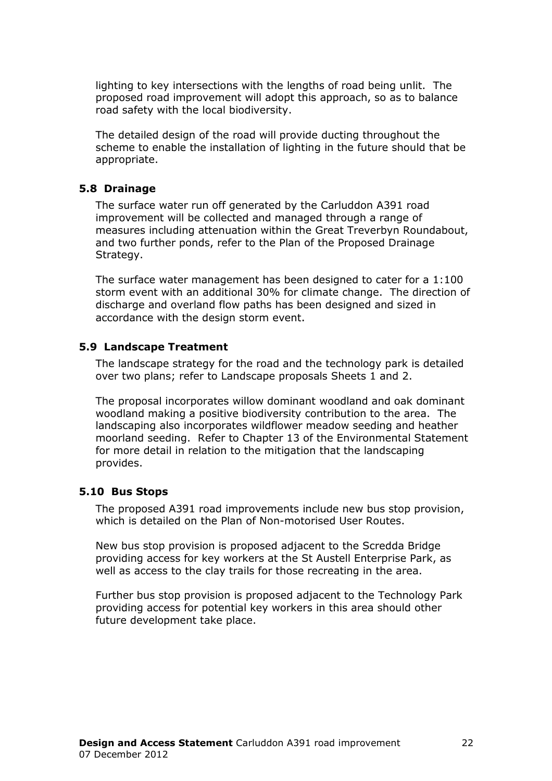lighting to key intersections with the lengths of road being unlit. The proposed road improvement will adopt this approach, so as to balance road safety with the local biodiversity.

The detailed design of the road will provide ducting throughout the scheme to enable the installation of lighting in the future should that be appropriate.

#### 5.8 Drainage

The surface water run off generated by the Carluddon A391 road improvement will be collected and managed through a range of measures including attenuation within the Great Treverbyn Roundabout, and two further ponds, refer to the Plan of the Proposed Drainage Strategy.

The surface water management has been designed to cater for a 1:100 storm event with an additional 30% for climate change. The direction of discharge and overland flow paths has been designed and sized in accordance with the design storm event.

#### 5.9 Landscape Treatment

The landscape strategy for the road and the technology park is detailed over two plans; refer to Landscape proposals Sheets 1 and 2.

The proposal incorporates willow dominant woodland and oak dominant woodland making a positive biodiversity contribution to the area. The landscaping also incorporates wildflower meadow seeding and heather moorland seeding. Refer to Chapter 13 of the Environmental Statement for more detail in relation to the mitigation that the landscaping provides.

#### 5.10 Bus Stops

The proposed A391 road improvements include new bus stop provision, which is detailed on the Plan of Non-motorised User Routes.

New bus stop provision is proposed adjacent to the Scredda Bridge providing access for key workers at the St Austell Enterprise Park, as well as access to the clay trails for those recreating in the area.

Further bus stop provision is proposed adjacent to the Technology Park providing access for potential key workers in this area should other future development take place.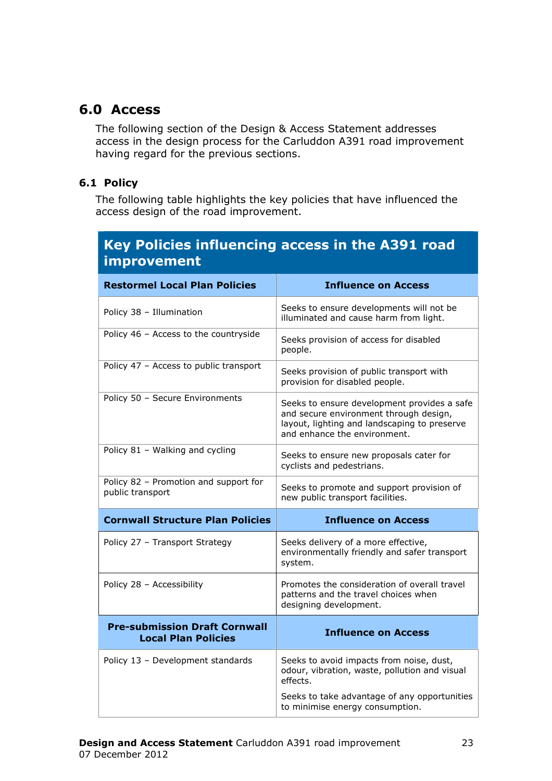# 6.0 Access

The following section of the Design & Access Statement addresses access in the design process for the Carluddon A391 road improvement having regard for the previous sections.

#### 6.1 Policy

The following table highlights the key policies that have influenced the access design of the road improvement.

# Key Policies influencing access in the A391 road improvement

| <b>Restormel Local Plan Policies</b>                               | <b>Influence on Access</b>                                                                                                                                            |
|--------------------------------------------------------------------|-----------------------------------------------------------------------------------------------------------------------------------------------------------------------|
| Policy 38 - Illumination                                           | Seeks to ensure developments will not be<br>illuminated and cause harm from light.                                                                                    |
| Policy 46 - Access to the countryside                              | Seeks provision of access for disabled<br>people.                                                                                                                     |
| Policy 47 - Access to public transport                             | Seeks provision of public transport with<br>provision for disabled people.                                                                                            |
| Policy 50 - Secure Environments                                    | Seeks to ensure development provides a safe<br>and secure environment through design,<br>layout, lighting and landscaping to preserve<br>and enhance the environment. |
| Policy 81 - Walking and cycling                                    | Seeks to ensure new proposals cater for<br>cyclists and pedestrians.                                                                                                  |
| Policy 82 - Promotion and support for<br>public transport          | Seeks to promote and support provision of<br>new public transport facilities.                                                                                         |
|                                                                    |                                                                                                                                                                       |
| <b>Cornwall Structure Plan Policies</b>                            | <b>Influence on Access</b>                                                                                                                                            |
| Policy 27 - Transport Strategy                                     | Seeks delivery of a more effective,<br>environmentally friendly and safer transport<br>system.                                                                        |
| Policy 28 - Accessibility                                          | Promotes the consideration of overall travel<br>patterns and the travel choices when<br>designing development.                                                        |
| <b>Pre-submission Draft Cornwall</b><br><b>Local Plan Policies</b> | <b>Influence on Access</b>                                                                                                                                            |
| Policy 13 - Development standards                                  | Seeks to avoid impacts from noise, dust,<br>odour, vibration, waste, pollution and visual<br>effects.                                                                 |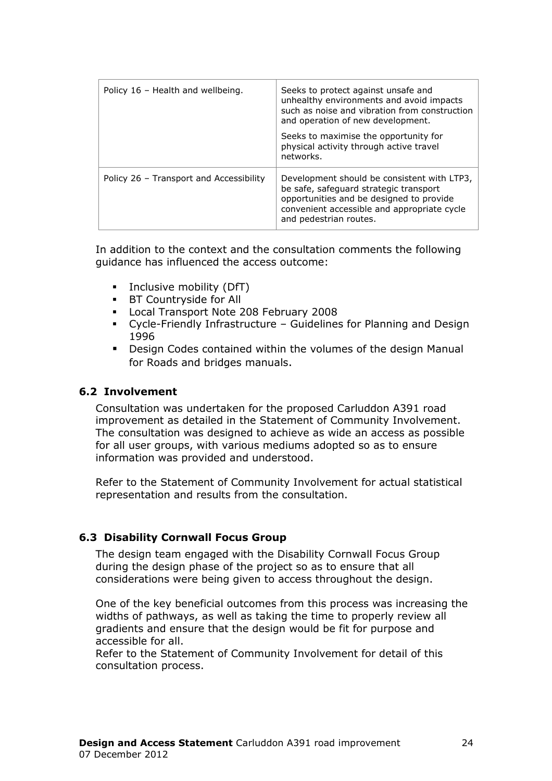| Policy 16 - Health and wellbeing.       | Seeks to protect against unsafe and<br>unhealthy environments and avoid impacts<br>such as noise and vibration from construction<br>and operation of new development.<br>Seeks to maximise the opportunity for<br>physical activity through active travel<br>networks. |
|-----------------------------------------|------------------------------------------------------------------------------------------------------------------------------------------------------------------------------------------------------------------------------------------------------------------------|
| Policy 26 - Transport and Accessibility | Development should be consistent with LTP3,<br>be safe, safeguard strategic transport<br>opportunities and be designed to provide<br>convenient accessible and appropriate cycle<br>and pedestrian routes.                                                             |

In addition to the context and the consultation comments the following guidance has influenced the access outcome:

- **Inclusive mobility (DfT)**
- **BT Countryside for All**
- Local Transport Note 208 February 2008
- Cycle-Friendly Infrastructure Guidelines for Planning and Design 1996
- **Design Codes contained within the volumes of the design Manual** for Roads and bridges manuals.

#### 6.2 Involvement

Consultation was undertaken for the proposed Carluddon A391 road improvement as detailed in the Statement of Community Involvement. The consultation was designed to achieve as wide an access as possible for all user groups, with various mediums adopted so as to ensure information was provided and understood.

Refer to the Statement of Community Involvement for actual statistical representation and results from the consultation.

#### 6.3 Disability Cornwall Focus Group

The design team engaged with the Disability Cornwall Focus Group during the design phase of the project so as to ensure that all considerations were being given to access throughout the design.

One of the key beneficial outcomes from this process was increasing the widths of pathways, as well as taking the time to properly review all gradients and ensure that the design would be fit for purpose and accessible for all.

Refer to the Statement of Community Involvement for detail of this consultation process.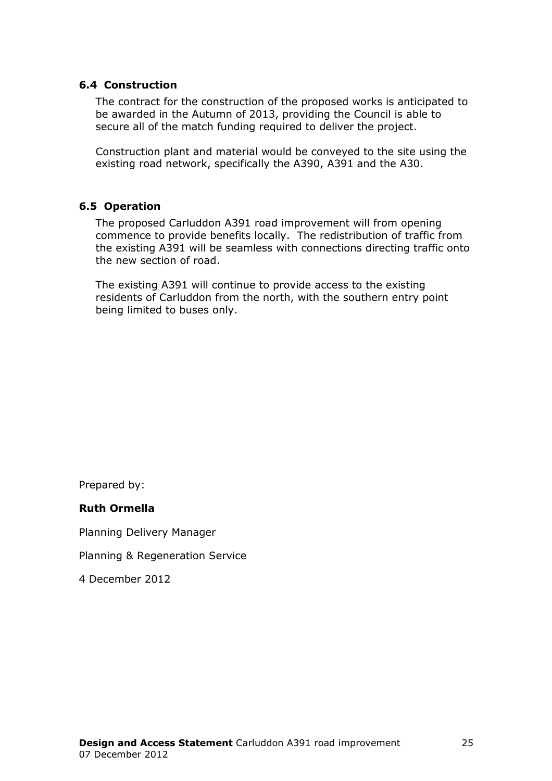#### 6.4 Construction

The contract for the construction of the proposed works is anticipated to be awarded in the Autumn of 2013, providing the Council is able to secure all of the match funding required to deliver the project.

Construction plant and material would be conveyed to the site using the existing road network, specifically the A390, A391 and the A30.

#### 6.5 Operation

The proposed Carluddon A391 road improvement will from opening commence to provide benefits locally. The redistribution of traffic from the existing A391 will be seamless with connections directing traffic onto the new section of road.

The existing A391 will continue to provide access to the existing residents of Carluddon from the north, with the southern entry point being limited to buses only.

Prepared by:

#### Ruth Ormella

Planning Delivery Manager

Planning & Regeneration Service

4 December 2012